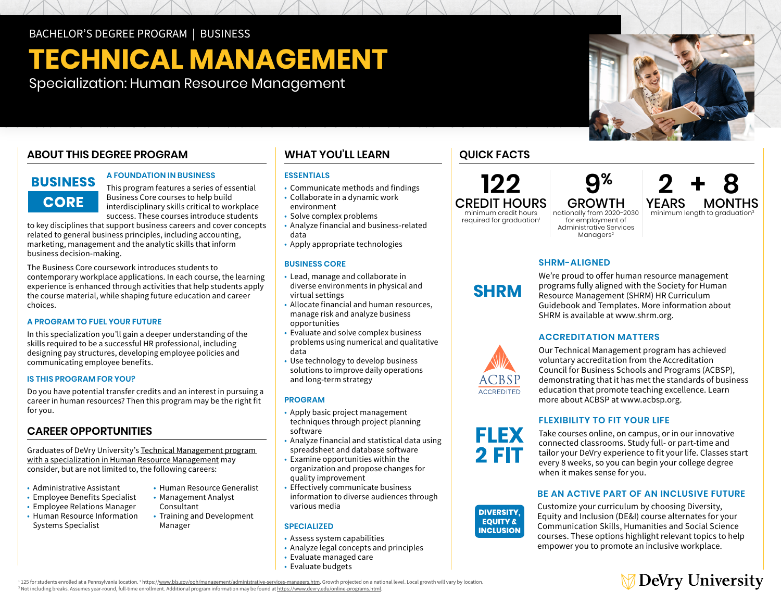# **TECHNICAL MANAGEMENT**

Specialization: Human Resource Management

# **ABOUT THIS DEGREE PROGRAM**

# **BUSINESS CORE**

#### **A FOUNDATION IN BUSINESS**

This program features a series of essential Business Core courses to help build interdisciplinary skills critical to workplace success. These courses introduce students

to key disciplines that support business careers and cover concepts related to general business principles, including accounting, marketing, management and the analytic skills that inform business decision-making.

The Business Core coursework introduces students to contemporary workplace applications. In each course, the learning experience is enhanced through activities that help students apply the course material, while shaping future education and career choices.

#### **A PROGRAM TO FUEL YOUR FUTURE**

In this specialization you'll gain a deeper understanding of the skills required to be a successful HR professional, including designing pay structures, developing employee policies and communicating employee benefits.

#### **IS THIS PROGRAM FOR YOU?**

Do you have potential transfer credits and an interest in pursuing a career in human resources? Then this program may be the right fit for you.

# **CAREER OPPORTUNITIES**

Graduates of DeVry University's [Technical Management program](https://www.devry.edu/online-programs/bachelors-degrees/business/human-resource-management-specialization.html)  [with a specialization in Human Resource Management](https://www.devry.edu/online-programs/bachelors-degrees/business/human-resource-management-specialization.html) may consider, but are not limited to, the following careers:

- Administrative Assistant
- Employee Benefits Specialist
- Employee Relations Manager
- Human Resource Information Systems Specialist
- Human Resource Generalist • Management Analyst
- Consultant • Training and Development Manager

# **WHAT YOU'LL LEARN**

#### **ESSENTIALS**

- Communicate methods and findings
- Collaborate in a dynamic work environment
- Solve complex problems
- Analyze financial and business-related data
- Apply appropriate technologies

#### **BUSINESS CORE**

- Lead, manage and collaborate in diverse environments in physical and virtual settings
- Allocate financial and human resources, manage risk and analyze business opportunities
- Evaluate and solve complex business problems using numerical and qualitative data
- Use technology to develop business solutions to improve daily operations and long-term strategy

#### **PROGRAM**

- Apply basic project management techniques through project planning software
- Analyze financial and statistical data using spreadsheet and database software
- Examine opportunities within the organization and propose changes for quality improvement
- Effectively communicate business information to diverse audiences through various media

#### **SPECIALIZED**

- Assess system capabilities
- Analyze legal concepts and principles
- Evaluate managed care
- Evaluate budgets

## **QUICK FACTS**



minimum credit hours

required for graduation<sup>1</sup>  **9%** GROWTH nationally from 2020-2030 for employment of

Administrative Services Managers<sup>2</sup>

**2+8 YEARS MONTHS**<br>minimum length to graduation<sup>3</sup>

### **SHRM-ALIGNED**

We're proud to offer human resource management programs fully aligned with the Society for Human Resource Management (SHRM) HR Curriculum Guidebook and Templates. More information about SHRM is available at [www.shrm.org](http://www.shrm.org).

#### **ACCREDITATION MATTERS**



**SHRM**

Our Technical Management program has achieved voluntary accreditation from the Accreditation Council for Business Schools and Programs (ACBSP), demonstrating that it has met the standards of business education that promote teaching excellence. Learn more about ACBSP at [www.acbsp.org](http://www.acbsp.org).

#### **FLEXIBILITY TO FIT YOUR LIFE**

Take courses online, on campus, or in our innovative connected classrooms. Study full- or part-time and tailor your DeVry experience to fit your life. Classes start every 8 weeks, so you can begin your college degree **DIVERSITY,** when it makes sense for you. **EQUITY &**

#### **BE AN ACTIVE PART OF AN INCLUSIVE FUTURE**

Customize your curriculum by choosing Diversity, Equity and Inclusion (DE&I) course alternates for your Communication Skills, Humanities and Social Science courses. These options highlight relevant topics to help empower you to promote an inclusive workplace.

DeVry University

<sup>1</sup> 125 for students enrolled at a Pennsylvania location. <sup>2</sup> https://<u>www.bls.gov/ooh/management/administrative-services-managers.htm</u>. Growth projected on a national level. Local growth will vary by location.<br><sup>3</sup> Not inc



**EQUITY &**